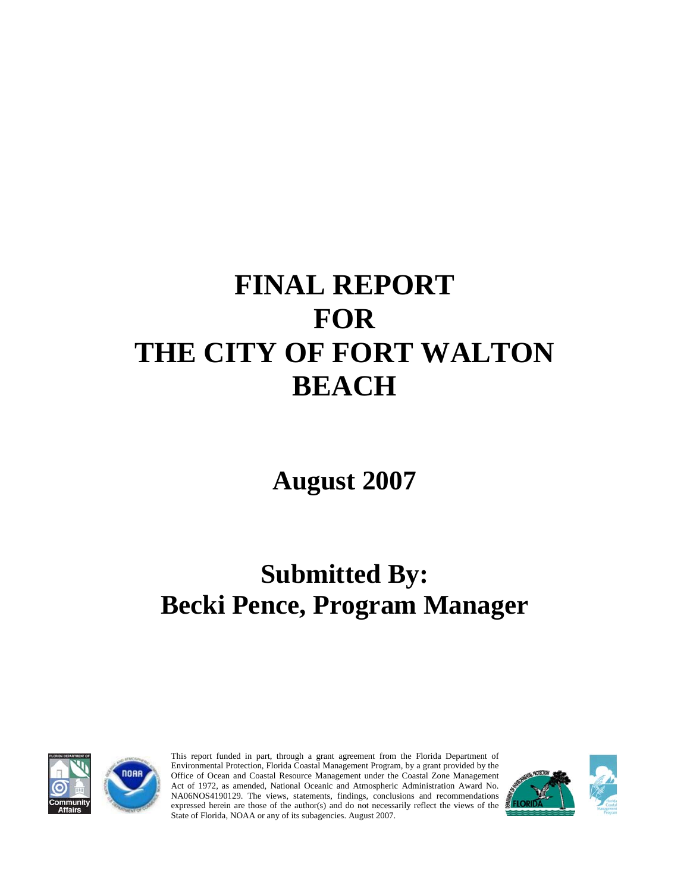# **FINAL REPORT FOR THE CITY OF FORT WALTON BEACH**

**August 2007** 

## **Submitted By: Becki Pence, Program Manager**



This report funded in part, through a grant agreement from the Florida Department of Environmental Protection, Florida Coastal Management Program, by a grant provided by the Office of Ocean and Coastal Resource Management under the Coastal Zone Management Act of 1972, as amended, National Oceanic and Atmospheric Administration Award No. NA06NOS4190129. The views, statements, findings, conclusions and recommendations expressed herein are those of the author(s) and do not necessarily reflect the views of the State of Florida, NOAA or any of its subagencies. August 2007.

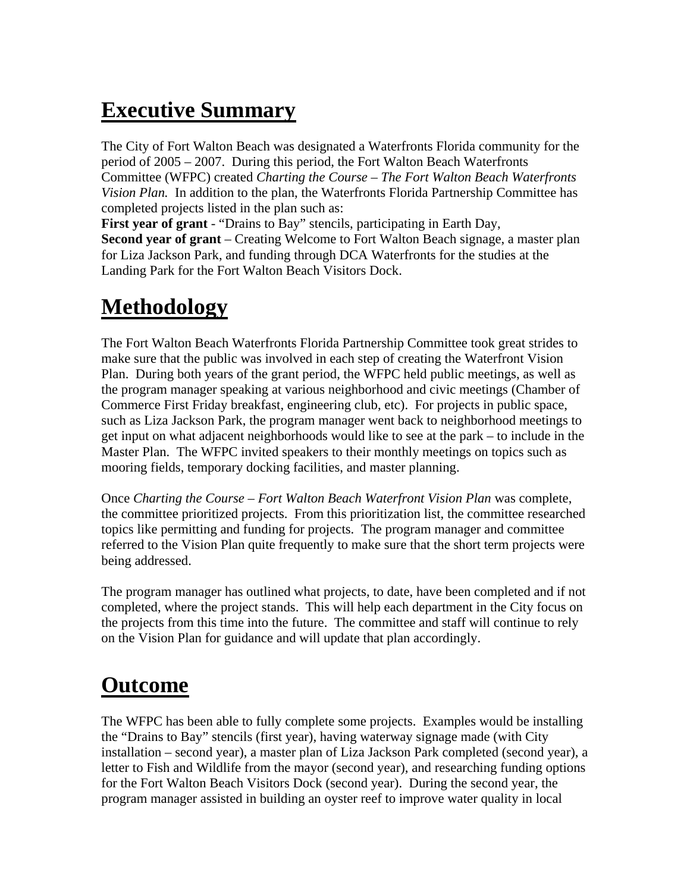### **Executive Summary**

The City of Fort Walton Beach was designated a Waterfronts Florida community for the period of 2005 – 2007. During this period, the Fort Walton Beach Waterfronts Committee (WFPC) created *Charting the Course – The Fort Walton Beach Waterfronts Vision Plan.* In addition to the plan, the Waterfronts Florida Partnership Committee has completed projects listed in the plan such as:

**First year of grant** - "Drains to Bay" stencils, participating in Earth Day, **Second year of grant** – Creating Welcome to Fort Walton Beach signage, a master plan for Liza Jackson Park, and funding through DCA Waterfronts for the studies at the Landing Park for the Fort Walton Beach Visitors Dock.

#### **Methodology**

The Fort Walton Beach Waterfronts Florida Partnership Committee took great strides to make sure that the public was involved in each step of creating the Waterfront Vision Plan. During both years of the grant period, the WFPC held public meetings, as well as the program manager speaking at various neighborhood and civic meetings (Chamber of Commerce First Friday breakfast, engineering club, etc). For projects in public space, such as Liza Jackson Park, the program manager went back to neighborhood meetings to get input on what adjacent neighborhoods would like to see at the park – to include in the Master Plan. The WFPC invited speakers to their monthly meetings on topics such as mooring fields, temporary docking facilities, and master planning.

Once *Charting the Course – Fort Walton Beach Waterfront Vision Plan* was complete, the committee prioritized projects. From this prioritization list, the committee researched topics like permitting and funding for projects. The program manager and committee referred to the Vision Plan quite frequently to make sure that the short term projects were being addressed.

The program manager has outlined what projects, to date, have been completed and if not completed, where the project stands. This will help each department in the City focus on the projects from this time into the future. The committee and staff will continue to rely on the Vision Plan for guidance and will update that plan accordingly.

#### **Outcome**

The WFPC has been able to fully complete some projects. Examples would be installing the "Drains to Bay" stencils (first year), having waterway signage made (with City installation – second year), a master plan of Liza Jackson Park completed (second year), a letter to Fish and Wildlife from the mayor (second year), and researching funding options for the Fort Walton Beach Visitors Dock (second year). During the second year, the program manager assisted in building an oyster reef to improve water quality in local